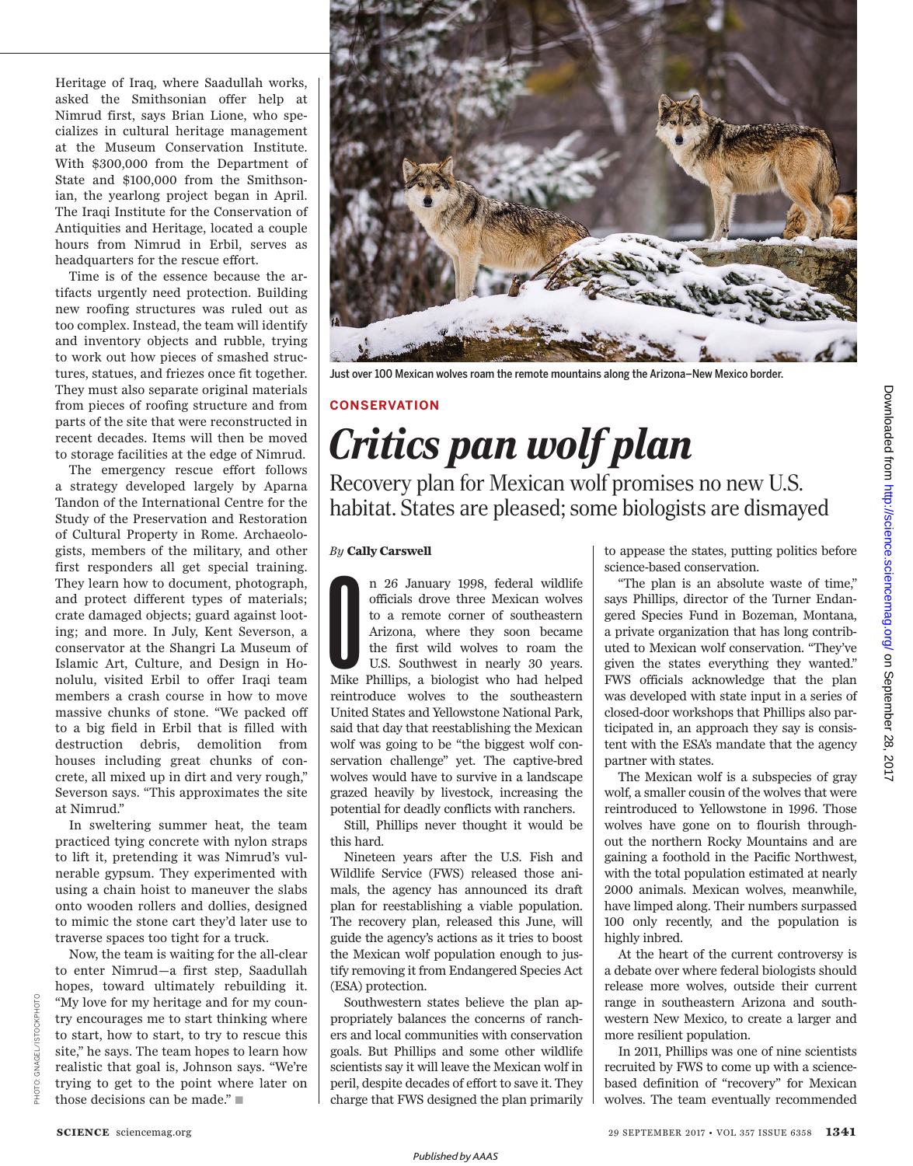Heritage of Iraq, where Saadullah works, asked the Smithsonian offer help at Nimrud first, says Brian Lione, who specializes in cultural heritage management at the Museum Conservation Institute. With \$300,000 from the Department of State and \$100,000 from the Smithsonian, the yearlong project began in April. The Iraqi Institute for the Conservation of Antiquities and Heritage, located a couple hours from Nimrud in Erbil, serves as headquarters for the rescue effort.

Time is of the essence because the artifacts urgently need protection. Building new roofing structures was ruled out as too complex. Instead, the team will identify and inventory objects and rubble, trying to work out how pieces of smashed structures, statues, and friezes once fit together. They must also separate original materials from pieces of roofing structure and from parts of the site that were reconstructed in recent decades. Items will then be moved to storage facilities at the edge of Nimrud.

The emergency rescue effort follows a strategy developed largely by Aparna Tandon of the International Centre for the Study of the Preservation and Restoration of Cultural Property in Rome. Archaeologists, members of the military, and other first responders all get special training. They learn how to document, photograph, and protect different types of materials; crate damaged objects; guard against looting; and more. In July, Kent Severson, a conservator at the Shangri La Museum of Islamic Art, Culture, and Design in Honolulu, visited Erbil to offer Iraqi team members a crash course in how to move massive chunks of stone. "We packed off to a big field in Erbil that is filled with destruction debris, demolition from houses including great chunks of concrete, all mixed up in dirt and very rough," Severson says. "This approximates the site at Nimrud."

In sweltering summer heat, the team practiced tying concrete with nylon straps to lift it, pretending it was Nimrud's vulnerable gypsum. They experimented with using a chain hoist to maneuver the slabs onto wooden rollers and dollies, designed to mimic the stone cart they'd later use to traverse spaces too tight for a truck.

Now, the team is waiting for the all-clear to enter Nimrud—a first step, Saadullah hopes, toward ultimately rebuilding it. "My love for my heritage and for my country encourages me to start thinking where to start, how to start, to try to rescue this site," he says. The team hopes to learn how realistic that goal is, Johnson says. "We're trying to get to the point where later on those decisions can be made."  $\blacksquare$ 



Just over 100 Mexican wolves roam the remote mountains along the Arizona–New Mexico border.

### **CONSERVATION**

# *Critics pan wolf plan*

Recovery plan for Mexican wolf promises no new U.S. habitat. States are pleased; some biologists are dismayed

#### *By* **Cally Carswell**

n 26 January 1998, federal wildlife officials drove three Mexican wolves<br>to a remote corner of southeastern<br>Arizona, where they soon became<br>the first wild wolves to roam the<br>U.S. Southwest in nearly 30 years.<br>Mike Phillips n 26 January 1998, federal wildlife officials drove three Mexican wolves to a remote corner of southeastern Arizona, where they soon became the first wild wolves to roam the U.S. Southwest in nearly 30 years. reintroduce wolves to the southeastern United States and Yellowstone National Park, said that day that reestablishing the Mexican wolf was going to be "the biggest wolf conservation challenge" yet. The captive-bred wolves would have to survive in a landscape grazed heavily by livestock, increasing the potential for deadly conflicts with ranchers.

Still, Phillips never thought it would be this hard.

Nineteen years after the U.S. Fish and Wildlife Service (FWS) released those animals, the agency has announced its draft plan for reestablishing a viable population. The recovery plan, released this June, will guide the agency's actions as it tries to boost the Mexican wolf population enough to justify removing it from Endangered Species Act (ESA) protection.

Southwestern states believe the plan appropriately balances the concerns of ranchers and local communities with conservation goals. But Phillips and some other wildlife scientists say it will leave the Mexican wolf in peril, despite decades of effort to save it. They charge that FWS designed the plan primarily to appease the states, putting politics before science-based conservation.

"The plan is an absolute waste of time," says Phillips, director of the Turner Endangered Species Fund in Bozeman, Montana, a private organization that has long contributed to Mexican wolf conservation. "They've given the states everything they wanted." FWS officials acknowledge that the plan was developed with state input in a series of closed-door workshops that Phillips also participated in, an approach they say is consistent with the ESA's mandate that the agency partner with states.

The Mexican wolf is a subspecies of gray wolf, a smaller cousin of the wolves that were reintroduced to Yellowstone in 1996. Those wolves have gone on to flourish throughout the northern Rocky Mountains and are gaining a foothold in the Pacific Northwest, with the total population estimated at nearly 2000 animals. Mexican wolves, meanwhile, have limped along. Their numbers surpassed 100 only recently, and the population is highly inbred.

At the heart of the current controversy is a debate over where federal biologists should release more wolves, outside their current range in southeastern Arizona and southwestern New Mexico, to create a larger and more resilient population.

In 2011, Phillips was one of nine scientists recruited by FWS to come up with a sciencebased definition of "recovery" for Mexican wolves. The team eventually recommended

PHOTO: GNAGEL/ISTOCKPHOTO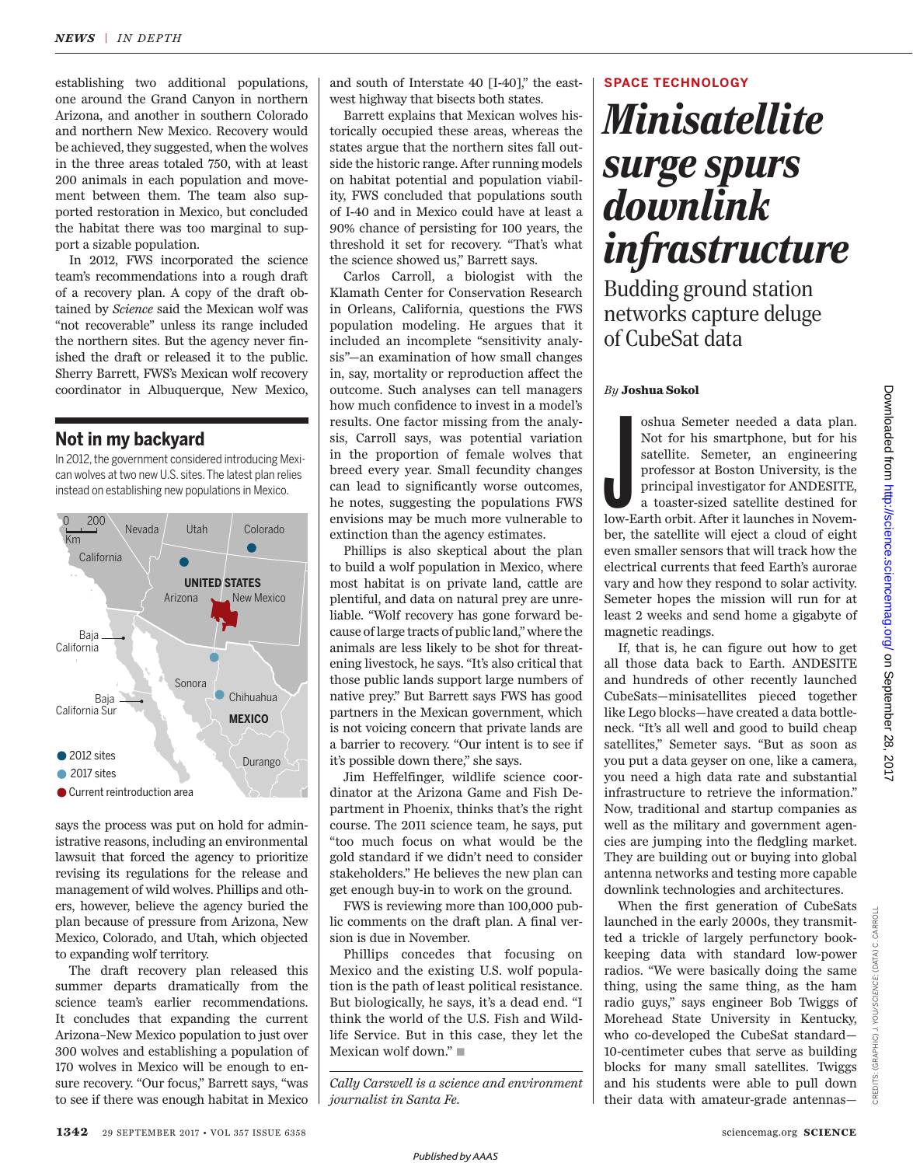establishing two additional populations, one around the Grand Canyon in northern Arizona, and another in southern Colorado and northern New Mexico. Recovery would be achieved, they suggested, when the wolves in the three areas totaled 750, with at least 200 animals in each population and movement between them. The team also supported restoration in Mexico, but concluded the habitat there was too marginal to support a sizable population.

In 2012, FWS incorporated the science team's recommendations into a rough draft of a recovery plan. A copy of the draft obtained by *Science* said the Mexican wolf was "not recoverable" unless its range included the northern sites. But the agency never finished the draft or released it to the public. Sherry Barrett, FWS's Mexican wolf recovery coordinator in Albuquerque, New Mexico,

#### **Not in my backyard**

In 2012, the government considered introducing Mexican wolves at two new U.S. sites. The latest plan relies instead on establishing new populations in Mexico.



says the process was put on hold for administrative reasons, including an environmental lawsuit that forced the agency to prioritize revising its regulations for the release and management of wild wolves. Phillips and others, however, believe the agency buried the plan because of pressure from Arizona, New Mexico, Colorado, and Utah, which objected to expanding wolf territory.

The draft recovery plan released this summer departs dramatically from the science team's earlier recommendations. It concludes that expanding the current Arizona–New Mexico population to just over 300 wolves and establishing a population of 170 wolves in Mexico will be enough to ensure recovery. "Our focus," Barrett says, "was to see if there was enough habitat in Mexico and south of Interstate 40 [I-40]," the eastwest highway that bisects both states.

Barrett explains that Mexican wolves historically occupied these areas, whereas the states argue that the northern sites fall outside the historic range. After running models on habitat potential and population viability, FWS concluded that populations south of I-40 and in Mexico could have at least a 90% chance of persisting for 100 years, the threshold it set for recovery. "That's what the science showed us," Barrett says.

Carlos Carroll, a biologist with the Klamath Center for Conservation Research in Orleans, California, questions the FWS population modeling. He argues that it included an incomplete "sensitivity analysis"—an examination of how small changes in, say, mortality or reproduction affect the outcome. Such analyses can tell managers how much confidence to invest in a model's results. One factor missing from the analysis, Carroll says, was potential variation in the proportion of female wolves that breed every year. Small fecundity changes can lead to significantly worse outcomes, he notes, suggesting the populations FWS envisions may be much more vulnerable to extinction than the agency estimates.

Phillips is also skeptical about the plan to build a wolf population in Mexico, where most habitat is on private land, cattle are plentiful, and data on natural prey are unreliable. "Wolf recovery has gone forward because of large tracts of public land," where the animals are less likely to be shot for threatening livestock, he says. "It's also critical that those public lands support large numbers of native prey." But Barrett says FWS has good partners in the Mexican government, which is not voicing concern that private lands are a barrier to recovery. "Our intent is to see if it's possible down there," she says.

Jim Heffelfinger, wildlife science coordinator at the Arizona Game and Fish Department in Phoenix, thinks that's the right course. The 2011 science team, he says, put "too much focus on what would be the gold standard if we didn't need to consider stakeholders." He believes the new plan can get enough buy-in to work on the ground.

FWS is reviewing more than 100,000 public comments on the draft plan. A final version is due in November.

Phillips concedes that focusing on Mexico and the existing U.S. wolf population is the path of least political resistance. But biologically, he says, it's a dead end. "I think the world of the U.S. Fish and Wildlife Service. But in this case, they let the Mexican wolf down."  $\blacksquare$ 

*Cally Carswell is a science and environment journalist in Santa Fe.*

#### **SPACE TECHNOLOGY**

## *Minisatellite surge spurs downlink infrastructure*

Budding ground station networks capture deluge of CubeSat data

#### *By* **Joshua Sokol**

Shua Semeter needed a data plan.<br>Not for his smartphone, but for his satellite. Semeter, an engineering professor at Boston University, is the principal investigator for ANDESITE, a toaster-sized satellite destined for low oshua Semeter needed a data plan. Not for his smartphone, but for his satellite. Semeter, an engineering professor at Boston University, is the principal investigator for ANDESITE, a toaster-sized satellite destined for ber, the satellite will eject a cloud of eight even smaller sensors that will track how the electrical currents that feed Earth's aurorae vary and how they respond to solar activity. Semeter hopes the mission will run for at least 2 weeks and send home a gigabyte of magnetic readings.

If, that is, he can figure out how to get all those data back to Earth. ANDESITE and hundreds of other recently launched CubeSats—minisatellites pieced together like Lego blocks—have created a data bottleneck. "It's all well and good to build cheap satellites," Semeter says. "But as soon as you put a data geyser on one, like a camera, you need a high data rate and substantial infrastructure to retrieve the information." Now, traditional and startup companies as well as the military and government agencies are jumping into the fledgling market. They are building out or buying into global antenna networks and testing more capable downlink technologies and architectures.

When the first generation of CubeSats launched in the early 2000s, they transmitted a trickle of largely perfunctory bookkeeping data with standard low-power radios. "We were basically doing the same thing, using the same thing, as the ham radio guys," says engineer Bob Twiggs of Morehead State University in Kentucky, who co-developed the CubeSat standard— 10-centimeter cubes that serve as building blocks for many small satellites. Twiggs and his students were able to pull down their data with amateur-grade antennas—